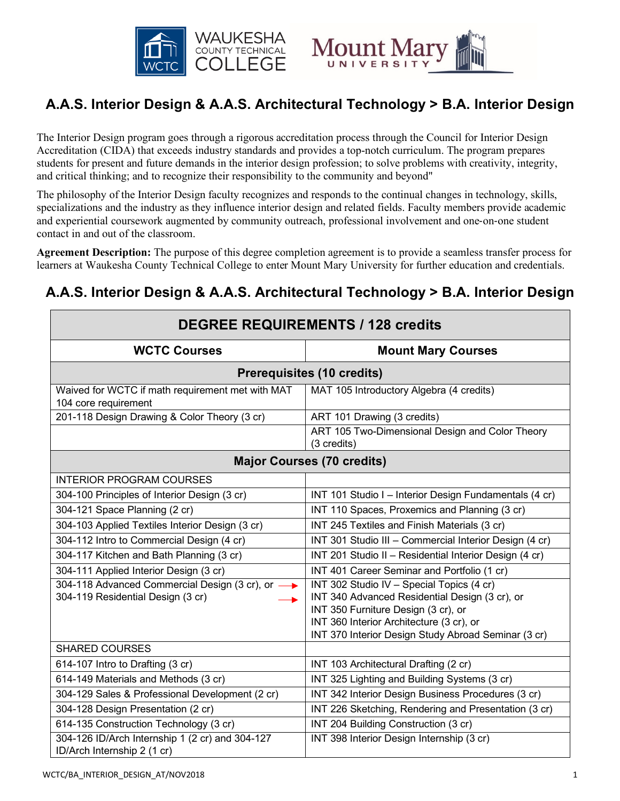



# **A.A.S. Interior Design & A.A.S. Architectural Technology > B.A. Interior Design**

The Interior Design program goes through a rigorous accreditation process through the Council for Interior Design Accreditation (CIDA) that exceeds industry standards and provides a top-notch curriculum. The program prepares students for present and future demands in the interior design profession; to solve problems with creativity, integrity, and critical thinking; and to recognize their responsibility to the community and beyond"

The philosophy of the Interior Design faculty recognizes and responds to the continual changes in technology, skills, specializations and the industry as they influence interior design and related fields. Faculty members provide academic and experiential coursework augmented by community outreach, professional involvement and one-on-one student contact in and out of the classroom.

**Agreement Description:** The purpose of this degree completion agreement is to provide a seamless transfer process for learners at Waukesha County Technical College to enter Mount Mary University for further education and credentials.

## **A.A.S. Interior Design & A.A.S. Architectural Technology > B.A. Interior Design**

| <b>DEGREE REQUIREMENTS / 128 credits</b>                                       |                                                                                 |  |
|--------------------------------------------------------------------------------|---------------------------------------------------------------------------------|--|
| <b>WCTC Courses</b>                                                            | <b>Mount Mary Courses</b>                                                       |  |
| <b>Prerequisites (10 credits)</b>                                              |                                                                                 |  |
| Waived for WCTC if math requirement met with MAT<br>104 core requirement       | MAT 105 Introductory Algebra (4 credits)                                        |  |
| 201-118 Design Drawing & Color Theory (3 cr)                                   | ART 101 Drawing (3 credits)                                                     |  |
|                                                                                | ART 105 Two-Dimensional Design and Color Theory<br>(3 credits)                  |  |
| <b>Major Courses (70 credits)</b>                                              |                                                                                 |  |
| <b>INTERIOR PROGRAM COURSES</b>                                                |                                                                                 |  |
| 304-100 Principles of Interior Design (3 cr)                                   | INT 101 Studio I - Interior Design Fundamentals (4 cr)                          |  |
| 304-121 Space Planning (2 cr)                                                  | INT 110 Spaces, Proxemics and Planning (3 cr)                                   |  |
| 304-103 Applied Textiles Interior Design (3 cr)                                | INT 245 Textiles and Finish Materials (3 cr)                                    |  |
| 304-112 Intro to Commercial Design (4 cr)                                      | INT 301 Studio III - Commercial Interior Design (4 cr)                          |  |
| 304-117 Kitchen and Bath Planning (3 cr)                                       | INT 201 Studio II - Residential Interior Design (4 cr)                          |  |
| 304-111 Applied Interior Design (3 cr)                                         | INT 401 Career Seminar and Portfolio (1 cr)                                     |  |
| 304-118 Advanced Commercial Design (3 cr), or →                                | INT 302 Studio IV - Special Topics (4 cr)                                       |  |
| 304-119 Residential Design (3 cr)                                              | INT 340 Advanced Residential Design (3 cr), or                                  |  |
|                                                                                | INT 350 Furniture Design (3 cr), or<br>INT 360 Interior Architecture (3 cr), or |  |
|                                                                                | INT 370 Interior Design Study Abroad Seminar (3 cr)                             |  |
| <b>SHARED COURSES</b>                                                          |                                                                                 |  |
| 614-107 Intro to Drafting (3 cr)                                               | INT 103 Architectural Drafting (2 cr)                                           |  |
| 614-149 Materials and Methods (3 cr)                                           | INT 325 Lighting and Building Systems (3 cr)                                    |  |
| 304-129 Sales & Professional Development (2 cr)                                | INT 342 Interior Design Business Procedures (3 cr)                              |  |
| 304-128 Design Presentation (2 cr)                                             | INT 226 Sketching, Rendering and Presentation (3 cr)                            |  |
| 614-135 Construction Technology (3 cr)                                         | INT 204 Building Construction (3 cr)                                            |  |
| 304-126 ID/Arch Internship 1 (2 cr) and 304-127<br>ID/Arch Internship 2 (1 cr) | INT 398 Interior Design Internship (3 cr)                                       |  |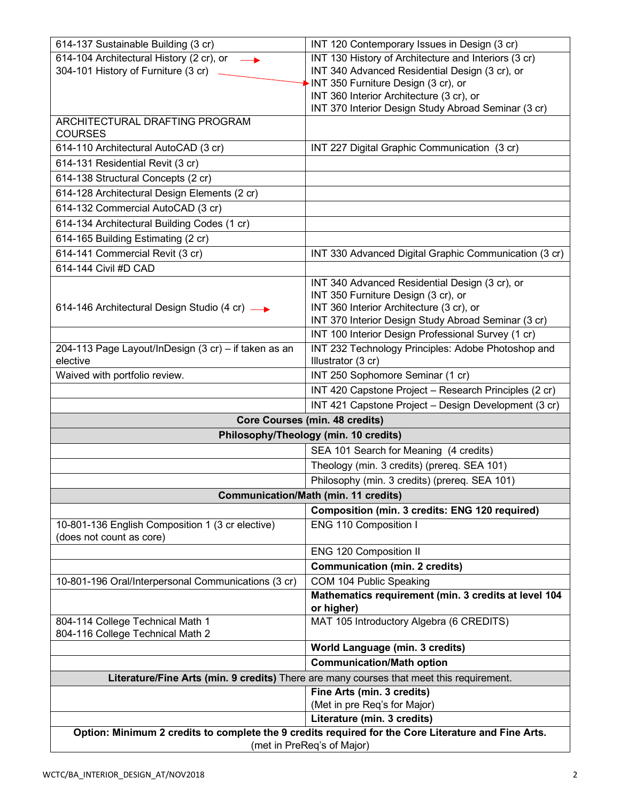| 614-137 Sustainable Building (3 cr)                                                                 | INT 120 Contemporary Issues in Design (3 cr)                                                             |
|-----------------------------------------------------------------------------------------------------|----------------------------------------------------------------------------------------------------------|
| 614-104 Architectural History (2 cr), or                                                            | INT 130 History of Architecture and Interiors (3 cr)                                                     |
| 304-101 History of Furniture (3 cr)                                                                 | INT 340 Advanced Residential Design (3 cr), or                                                           |
|                                                                                                     | INT 350 Furniture Design (3 cr), or<br>INT 360 Interior Architecture (3 cr), or                          |
|                                                                                                     | INT 370 Interior Design Study Abroad Seminar (3 cr)                                                      |
| ARCHITECTURAL DRAFTING PROGRAM                                                                      |                                                                                                          |
| <b>COURSES</b>                                                                                      |                                                                                                          |
| 614-110 Architectural AutoCAD (3 cr)                                                                | INT 227 Digital Graphic Communication (3 cr)                                                             |
| 614-131 Residential Revit (3 cr)                                                                    |                                                                                                          |
| 614-138 Structural Concepts (2 cr)                                                                  |                                                                                                          |
| 614-128 Architectural Design Elements (2 cr)                                                        |                                                                                                          |
| 614-132 Commercial AutoCAD (3 cr)                                                                   |                                                                                                          |
| 614-134 Architectural Building Codes (1 cr)                                                         |                                                                                                          |
| 614-165 Building Estimating (2 cr)                                                                  |                                                                                                          |
| 614-141 Commercial Revit (3 cr)                                                                     | INT 330 Advanced Digital Graphic Communication (3 cr)                                                    |
| 614-144 Civil #D CAD                                                                                |                                                                                                          |
|                                                                                                     | INT 340 Advanced Residential Design (3 cr), or                                                           |
|                                                                                                     | INT 350 Furniture Design (3 cr), or                                                                      |
| 614-146 Architectural Design Studio (4 cr) -                                                        | INT 360 Interior Architecture (3 cr), or                                                                 |
|                                                                                                     | INT 370 Interior Design Study Abroad Seminar (3 cr)                                                      |
| 204-113 Page Layout/InDesign (3 cr) - if taken as an                                                | INT 100 Interior Design Professional Survey (1 cr)<br>INT 232 Technology Principles: Adobe Photoshop and |
| elective                                                                                            | Illustrator (3 cr)                                                                                       |
| Waived with portfolio review.                                                                       | INT 250 Sophomore Seminar (1 cr)                                                                         |
|                                                                                                     | INT 420 Capstone Project - Research Principles (2 cr)                                                    |
|                                                                                                     | INT 421 Capstone Project - Design Development (3 cr)                                                     |
| <b>Core Courses (min. 48 credits)</b>                                                               |                                                                                                          |
| Philosophy/Theology (min. 10 credits)                                                               |                                                                                                          |
|                                                                                                     | SEA 101 Search for Meaning (4 credits)                                                                   |
|                                                                                                     | Theology (min. 3 credits) (prereq. SEA 101)                                                              |
|                                                                                                     | Philosophy (min. 3 credits) (prereq. SEA 101)                                                            |
|                                                                                                     | <b>Communication/Math (min. 11 credits)</b>                                                              |
|                                                                                                     | Composition (min. 3 credits: ENG 120 required)                                                           |
| 10-801-136 English Composition 1 (3 cr elective)                                                    | ENG 110 Composition I                                                                                    |
| (does not count as core)                                                                            |                                                                                                          |
|                                                                                                     | ENG 120 Composition II                                                                                   |
|                                                                                                     | <b>Communication (min. 2 credits)</b>                                                                    |
| 10-801-196 Oral/Interpersonal Communications (3 cr)                                                 | COM 104 Public Speaking                                                                                  |
|                                                                                                     | Mathematics requirement (min. 3 credits at level 104<br>or higher)                                       |
| 804-114 College Technical Math 1                                                                    | MAT 105 Introductory Algebra (6 CREDITS)                                                                 |
| 804-116 College Technical Math 2                                                                    |                                                                                                          |
|                                                                                                     | <b>World Language (min. 3 credits)</b>                                                                   |
|                                                                                                     | <b>Communication/Math option</b>                                                                         |
| Literature/Fine Arts (min. 9 credits) There are many courses that meet this requirement.            |                                                                                                          |
|                                                                                                     | Fine Arts (min. 3 credits)                                                                               |
|                                                                                                     | (Met in pre Req's for Major)                                                                             |
|                                                                                                     | Literature (min. 3 credits)                                                                              |
| Option: Minimum 2 credits to complete the 9 credits required for the Core Literature and Fine Arts. |                                                                                                          |
| (met in PreReq's of Major)                                                                          |                                                                                                          |